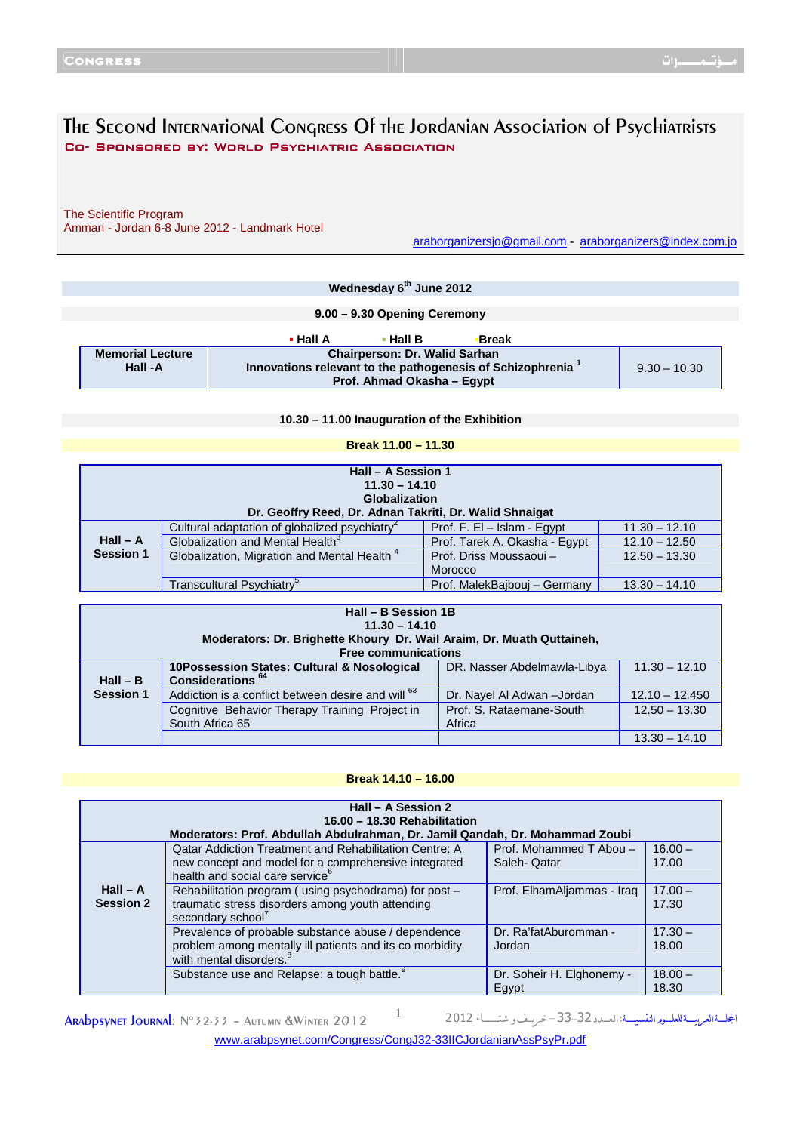# The Second International Congress Of the Jordanian Association of Psychiatrists Co- Sponsored By: World Psychiatric Association

Ϊ

The Scientific Program Amman - Jordan 6-8 June 2012 - Landmark Hotel

araborganizersjo@gmail.com - araborganizers@index.com.jo

|                                                                 | Wednesday 6 <sup>th</sup> June 2012                                               |                                                  |                |  |
|-----------------------------------------------------------------|-----------------------------------------------------------------------------------|--------------------------------------------------|----------------|--|
|                                                                 |                                                                                   |                                                  |                |  |
|                                                                 |                                                                                   | 9.00 - 9.30 Opening Ceremony                     |                |  |
|                                                                 |                                                                                   |                                                  |                |  |
|                                                                 |                                                                                   | $\cdot$ Hall A<br>Break<br>$\blacksquare$ Hall B |                |  |
| <b>Chairperson: Dr. Walid Sarhan</b><br><b>Memorial Lecture</b> |                                                                                   |                                                  |                |  |
|                                                                 | Innovations relevant to the pathogenesis of Schizophrenia <sup>1</sup><br>Hall -A |                                                  | $9.30 - 10.30$ |  |
|                                                                 |                                                                                   | Prof. Ahmad Okasha - Eqypt                       |                |  |

**10.30 – 11.00 Inauguration of the Exhibition** 

| Break 11.00 - 11.30 |
|---------------------|
|---------------------|

| Hall - A Session 1<br>$11.30 - 14.10$<br>Globalization<br>Dr. Geoffry Reed, Dr. Adnan Takriti, Dr. Walid Shnaigat |                                                           |                               |                 |
|-------------------------------------------------------------------------------------------------------------------|-----------------------------------------------------------|-------------------------------|-----------------|
|                                                                                                                   | Cultural adaptation of globalized psychiatry <sup>2</sup> | Prof. F. El - Islam - Egypt   | $11.30 - 12.10$ |
| $Hall - A$                                                                                                        | Globalization and Mental Health <sup>3</sup>              | Prof. Tarek A. Okasha - Egypt | $12.10 - 12.50$ |
| Session 1                                                                                                         | Globalization, Migration and Mental Health <sup>4</sup>   | Prof. Driss Moussaoui -       | $12.50 - 13.30$ |
|                                                                                                                   |                                                           | Morocco                       |                 |
|                                                                                                                   | Transcultural Psychiatry <sup>3</sup>                     | Prof. MalekBaiboui - Germany  | $13.30 - 14.10$ |

| Hall - B Session 1B |                                                                       |                             |                  |
|---------------------|-----------------------------------------------------------------------|-----------------------------|------------------|
|                     | $11.30 - 14.10$                                                       |                             |                  |
|                     | Moderators: Dr. Brighette Khoury Dr. Wail Araim, Dr. Muath Quttaineh, |                             |                  |
|                     | <b>Free communications</b>                                            |                             |                  |
|                     | 10Possession States: Cultural & Nosological                           | DR. Nasser Abdelmawla-Libya | $11.30 - 12.10$  |
| $Hall - B$          | Considerations <sup>64</sup>                                          |                             |                  |
| <b>Session 1</b>    | Addiction is a conflict between desire and will <sup>b3</sup>         | Dr. Nayel Al Adwan - Jordan | $12.10 - 12.450$ |
|                     | Cognitive Behavior Therapy Training Project in                        | Prof. S. Rataemane-South    | $12.50 - 13.30$  |
|                     | South Africa 65                                                       | Africa                      |                  |
|                     |                                                                       |                             | $13.30 - 14.10$  |

### **Break 14.10 – 16.00**

| Hall - A Session 2<br>16.00 - 18.30 Rehabilitation<br>Moderators: Prof. Abdullah Abdulrahman, Dr. Jamil Qandah, Dr. Mohammad Zoubi |                                                                                                                                                                      |                                         |                    |  |
|------------------------------------------------------------------------------------------------------------------------------------|----------------------------------------------------------------------------------------------------------------------------------------------------------------------|-----------------------------------------|--------------------|--|
|                                                                                                                                    | <b>Qatar Addiction Treatment and Rehabilitation Centre: A</b><br>new concept and model for a comprehensive integrated<br>health and social care service <sup>6</sup> | Prof. Mohammed T Abou -<br>Saleh- Qatar | $16.00 -$<br>17.00 |  |
| $Hall - A$<br><b>Session 2</b>                                                                                                     | Rehabilitation program (using psychodrama) for post -<br>traumatic stress disorders among youth attending<br>secondary school                                        | Prof. ElhamAljammas - Iraq              | $17.00 -$<br>17.30 |  |
|                                                                                                                                    | Prevalence of probable substance abuse / dependence<br>problem among mentally ill patients and its co morbidity<br>with mental disorders. <sup>8</sup>               | Dr. Ra'fatAburomman -<br>Jordan         | $17.30 -$<br>18.00 |  |
|                                                                                                                                    | Substance use and Relapse: a tough battle.                                                                                                                           | Dr. Soheir H. Elghonemy -<br>Egypt      | $18.00 -$<br>18.30 |  |

**ARADPSYNET JOURNAL:**  $N^{\circ}$  32-33 – AUTUMN &WINTER 2012 <sup>1</sup>

الجلة العربيسة للعليوم النفسيسة: العسدد 32-33-تخريف و شتــــاء 2012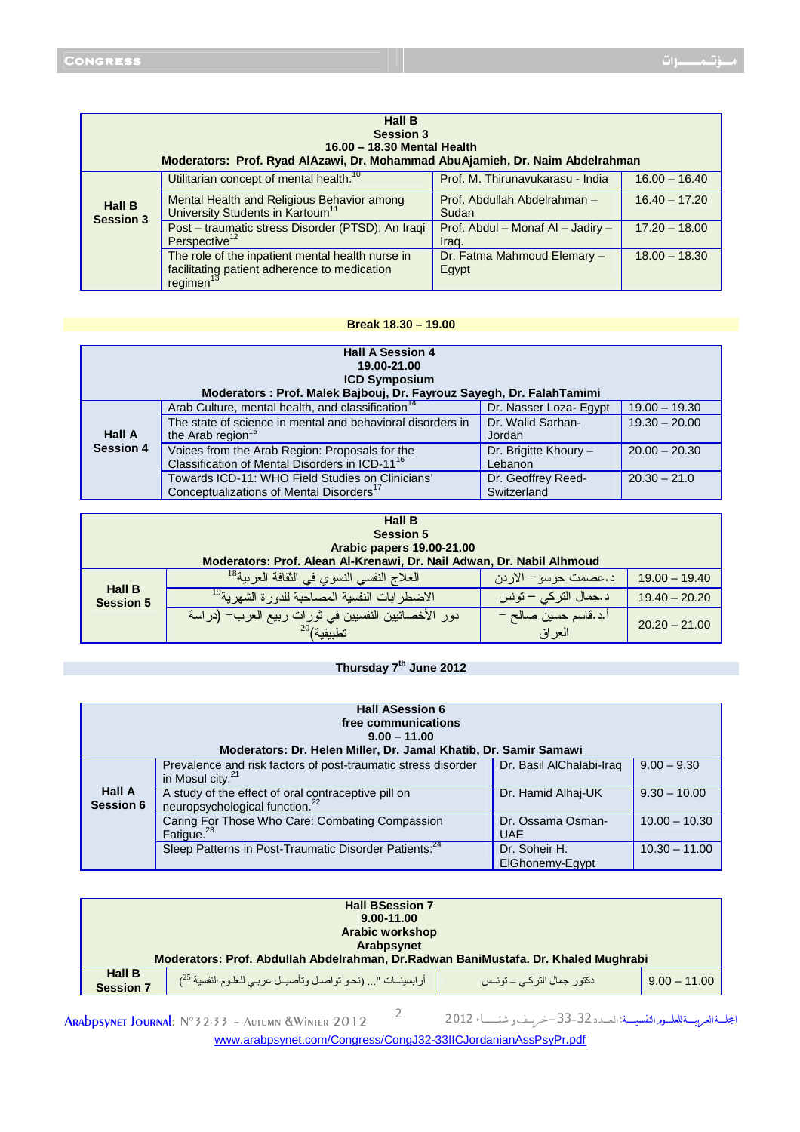| <b>Hall B</b><br><b>Session 3</b><br>16.00 - 18.30 Mental Health<br>Moderators: Prof. Ryad AlAzawi, Dr. Mohammad AbuAjamieh, Dr. Naim Abdelrahman |                                                                                                                           |                                            |                 |
|---------------------------------------------------------------------------------------------------------------------------------------------------|---------------------------------------------------------------------------------------------------------------------------|--------------------------------------------|-----------------|
|                                                                                                                                                   | Utilitarian concept of mental health. <sup>10</sup>                                                                       | Prof. M. Thirunavukarasu - India           | $16.00 - 16.40$ |
| <b>Hall B</b><br><b>Session 3</b>                                                                                                                 | Mental Health and Religious Behavior among<br>University Students in Kartoum <sup>11</sup>                                | Prof. Abdullah Abdelrahman -<br>Sudan      | $16.40 - 17.20$ |
|                                                                                                                                                   | Post - traumatic stress Disorder (PTSD): An Iraqi<br>Perspective <sup>12</sup>                                            | Prof. Abdul - Monaf AI - Jadiry -<br>Irag. | $17.20 - 18.00$ |
|                                                                                                                                                   | The role of the inpatient mental health nurse in<br>facilitating patient adherence to medication<br>regimen <sup>13</sup> | Dr. Fatma Mahmoud Elemary -<br>Egypt       | $18.00 - 18.30$ |

#### **Break 18.30 – 19.00**

| <b>Hall A Session 4</b><br>19.00-21.00<br><b>ICD Symposium</b><br>Moderators : Prof. Malek Bajbouj, Dr. Fayrouz Sayegh, Dr. FalahTamimi |                                                                                                              |                        |                 |  |
|-----------------------------------------------------------------------------------------------------------------------------------------|--------------------------------------------------------------------------------------------------------------|------------------------|-----------------|--|
|                                                                                                                                         | Arab Culture, mental health, and classification <sup>14</sup>                                                | Dr. Nasser Loza- Egypt | $19.00 - 19.30$ |  |
| <b>Hall A</b>                                                                                                                           | The state of science in mental and behavioral disorders in                                                   | Dr. Walid Sarhan-      | $19.30 - 20.00$ |  |
|                                                                                                                                         | the Arab region <sup>15</sup>                                                                                | Jordan                 |                 |  |
| <b>Session 4</b>                                                                                                                        | Voices from the Arab Region: Proposals for the<br>Classification of Mental Disorders in ICD-11 <sup>16</sup> | Dr. Brigitte Khoury -  | $20.00 - 20.30$ |  |
|                                                                                                                                         |                                                                                                              | Lebanon                |                 |  |
|                                                                                                                                         | Towards ICD-11: WHO Field Studies on Clinicians'                                                             | Dr. Geoffrey Reed-     | $20.30 - 21.0$  |  |
|                                                                                                                                         | Conceptualizations of Mental Disorders <sup>17</sup>                                                         | Switzerland            |                 |  |

| <b>Hall B</b>                     |                                                                         |                                 |                 |
|-----------------------------------|-------------------------------------------------------------------------|---------------------------------|-----------------|
|                                   | <b>Session 5</b>                                                        |                                 |                 |
|                                   | Arabic papers 19.00-21.00                                               |                                 |                 |
|                                   | Moderators: Prof. Alean Al-Krenawi, Dr. Nail Adwan, Dr. Nabil Alhmoud   |                                 |                 |
|                                   | العلاج النفسي النسوي في الثقافة العربية <sup>18</sup>                   | د.عصمت حوسو – الاردن            | $19.00 - 19.40$ |
| <b>Hall B</b><br><b>Session 5</b> | الاضطر ابات النفسية المصاحبة للدورة الشهرية <sup>19</sup>               | د.جمال النركي – نونس            | $19.40 - 20.20$ |
|                                   | دور الأخصائيين النفسيين في ثورات ربيع العرب– (دراسة<br>$^{20}$ نطبيقية) | أ.د.قاسم حسين صىالح –<br>العراق | $20.20 - 21.00$ |

### **Thursday 7th June 2012**

| <b>Hall ASession 6</b><br>free communications<br>$9.00 - 11.00$<br>Moderators: Dr. Helen Miller, Dr. Jamal Khatib, Dr. Samir Samawi |                                                                                                   |                                  |                 |
|-------------------------------------------------------------------------------------------------------------------------------------|---------------------------------------------------------------------------------------------------|----------------------------------|-----------------|
|                                                                                                                                     | Prevalence and risk factors of post-traumatic stress disorder<br>in Mosul city. <sup>21</sup>     | Dr. Basil AlChalabi-Iraq         | $9.00 - 9.30$   |
| <b>Hall A</b><br>Session 6                                                                                                          | A study of the effect of oral contraceptive pill on<br>neuropsychological function. <sup>22</sup> | Dr. Hamid Alhai-UK               | $9.30 - 10.00$  |
|                                                                                                                                     | Caring For Those Who Care: Combating Compassion<br>Fatigue. <sup>23</sup>                         | Dr. Ossama Osman-<br><b>UAE</b>  | $10.00 - 10.30$ |
|                                                                                                                                     | Sleep Patterns in Post-Traumatic Disorder Patients: <sup>24</sup>                                 | Dr. Soheir H.<br>ElGhonemy-Egypt | $10.30 - 11.00$ |

| <b>Hall BSession 7</b>                                                                                                 |                                                                                     |  |  |  |
|------------------------------------------------------------------------------------------------------------------------|-------------------------------------------------------------------------------------|--|--|--|
|                                                                                                                        | 9.00-11.00                                                                          |  |  |  |
|                                                                                                                        | Arabic workshop                                                                     |  |  |  |
|                                                                                                                        | Arabpsynet                                                                          |  |  |  |
|                                                                                                                        | Moderators: Prof. Abdullah Abdelrahman, Dr. Radwan BaniMustafa. Dr. Khaled Mughrabi |  |  |  |
| <b>Hall B</b><br>أرابسينات " (نحو تواصل وتأصيل عربي للعلوم النفسية 25)<br>دکتور جمال الترکے _ تونــس<br>$9.00 - 11.00$ |                                                                                     |  |  |  |
| <b>Session 7</b>                                                                                                       |                                                                                     |  |  |  |

ARAbpsynet Journal: N°32-33 - Autumn &Winter 2012<sup>2</sup>

الجلسة العربيسة للعلسوم النفسيسة: العسدد 32-33-تخريسف و شتسساء 2012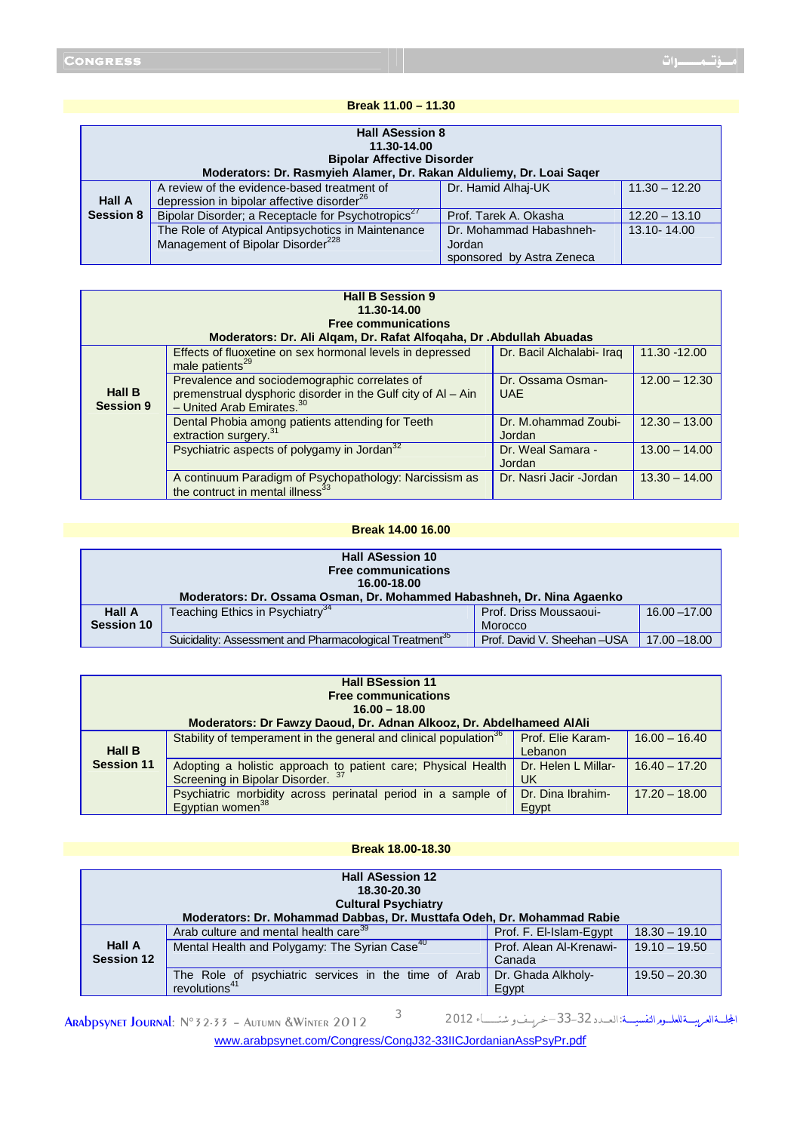#### **Break 11.00 – 11.30**

| <b>Hall ASession 8</b><br>11.30-14.00<br><b>Bipolar Affective Disorder</b><br>Moderators: Dr. Rasmyieh Alamer, Dr. Rakan Alduliemy, Dr. Loai Sager |                                                                                                       |                                   |                 |
|----------------------------------------------------------------------------------------------------------------------------------------------------|-------------------------------------------------------------------------------------------------------|-----------------------------------|-----------------|
| <b>Hall A</b>                                                                                                                                      | A review of the evidence-based treatment of<br>depression in bipolar affective disorder <sup>26</sup> | Dr. Hamid Alhai-UK                | $11.30 - 12.20$ |
| <b>Session 8</b>                                                                                                                                   | Bipolar Disorder; a Receptacle for Psychotropics <sup>27</sup>                                        | Prof. Tarek A. Okasha             | $12.20 - 13.10$ |
|                                                                                                                                                    | The Role of Atypical Antipsychotics in Maintenance<br>Management of Bipolar Disorder <sup>228</sup>   | Dr. Mohammad Habashneh-<br>Jordan | 13.10-14.00     |
|                                                                                                                                                    |                                                                                                       | sponsored by Astra Zeneca         |                 |

| <b>Hall B Session 9</b><br>11.30-14.00<br><b>Free communications</b><br>Moderators: Dr. Ali Alqam, Dr. Rafat Alfoqaha, Dr . Abdullah Abuadas |                                                                                                                                                 |                                 |                 |  |
|----------------------------------------------------------------------------------------------------------------------------------------------|-------------------------------------------------------------------------------------------------------------------------------------------------|---------------------------------|-----------------|--|
|                                                                                                                                              | Effects of fluoxetine on sex hormonal levels in depressed<br>male patients <sup>29</sup>                                                        | Dr. Bacil Alchalabi- Iraq       | 11.30 -12.00    |  |
| <b>Hall B</b><br><b>Session 9</b>                                                                                                            | Prevalence and sociodemographic correlates of<br>premenstrual dysphoric disorder in the Gulf city of AI - Ain<br>$-$ United Arab Emirates. $30$ | Dr. Ossama Osman-<br><b>UAE</b> | $12.00 - 12.30$ |  |
|                                                                                                                                              | Dental Phobia among patients attending for Teeth<br>extraction surgery. <sup>31</sup>                                                           | Dr. M.ohammad Zoubi-<br>Jordan  | $12.30 - 13.00$ |  |
|                                                                                                                                              | Psychiatric aspects of polygamy in Jordan <sup>32</sup>                                                                                         | Dr. Weal Samara -<br>Jordan     | $13.00 - 14.00$ |  |
|                                                                                                                                              | A continuum Paradigm of Psychopathology: Narcissism as<br>the contruct in mental illness <sup>33</sup>                                          | Dr. Nasri Jacir - Jordan        | $13.30 - 14.00$ |  |

### **Break 14.00 16.00**

| <b>Hall ASession 10</b><br><b>Free communications</b><br>16.00-18.00<br>Moderators: Dr. Ossama Osman, Dr. Mohammed Habashneh, Dr. Nina Agaenko |                                                                     |                              |                 |
|------------------------------------------------------------------------------------------------------------------------------------------------|---------------------------------------------------------------------|------------------------------|-----------------|
| Teaching Ethics in Psychiatry <sup>34</sup><br><b>Hall A</b><br>Prof. Driss Moussaoui-<br>$16.00 - 17.00$<br><b>Session 10</b><br>Morocco      |                                                                     |                              |                 |
|                                                                                                                                                | Suicidality: Assessment and Pharmacological Treatment <sup>35</sup> | Prof. David V. Sheehan - USA | $17.00 - 18.00$ |

| <b>Hall BSession 11</b><br><b>Free communications</b><br>$16.00 - 18.00$<br>Moderators: Dr Fawzy Daoud, Dr. Adnan Alkooz, Dr. Abdelhameed AlAli |                                                                                                            |                              |                 |
|-------------------------------------------------------------------------------------------------------------------------------------------------|------------------------------------------------------------------------------------------------------------|------------------------------|-----------------|
| <b>Hall B</b>                                                                                                                                   | Stability of temperament in the general and clinical population <sup>36</sup>                              | Prof. Elie Karam-<br>Lebanon | $16.00 - 16.40$ |
| <b>Session 11</b>                                                                                                                               | Adopting a holistic approach to patient care; Physical Health Screening in Bipolar Disorder. <sup>37</sup> | Dr. Helen L Millar-<br>UK    | $16.40 - 17.20$ |
|                                                                                                                                                 | Psychiatric morbidity across perinatal period in a sample of<br>Egyptian women <sup>38</sup>               | Dr. Dina Ibrahim-<br>Egypt   | $17.20 - 18.00$ |

### **Break 18.00-18.30**

| <b>Hall ASession 12</b><br>18.30-20.30<br><b>Cultural Psychiatry</b><br>Moderators: Dr. Mohammad Dabbas, Dr. Musttafa Odeh, Dr. Mohammad Rabie |                                                           |                         |                 |
|------------------------------------------------------------------------------------------------------------------------------------------------|-----------------------------------------------------------|-------------------------|-----------------|
|                                                                                                                                                | Arab culture and mental health care <sup>39</sup>         | Prof. F. El-Islam-Eqypt | $18.30 - 19.10$ |
| <b>Hall A</b>                                                                                                                                  | Mental Health and Polygamy: The Syrian Case <sup>40</sup> | Prof. Alean Al-Krenawi- | $19.10 - 19.50$ |
| <b>Session 12</b>                                                                                                                              |                                                           | Canada                  |                 |
|                                                                                                                                                | The Role of psychiatric services in the time of Arab      | Dr. Ghada Alkholy-      | $19.50 - 20.30$ |
|                                                                                                                                                | revolutions <sup>41</sup>                                 | Egypt                   |                 |

אـــــ א
ـــــ 
ـــــم אــــــ :אـ
ــــد 33<sup>32</sup> – ــــ و ـــــــــــ <sup>012</sup> <sup>2</sup> <sup>3</sup> 2012 Winter &Autumn – °32-33<sup>N</sup> :Journal Arabpsynet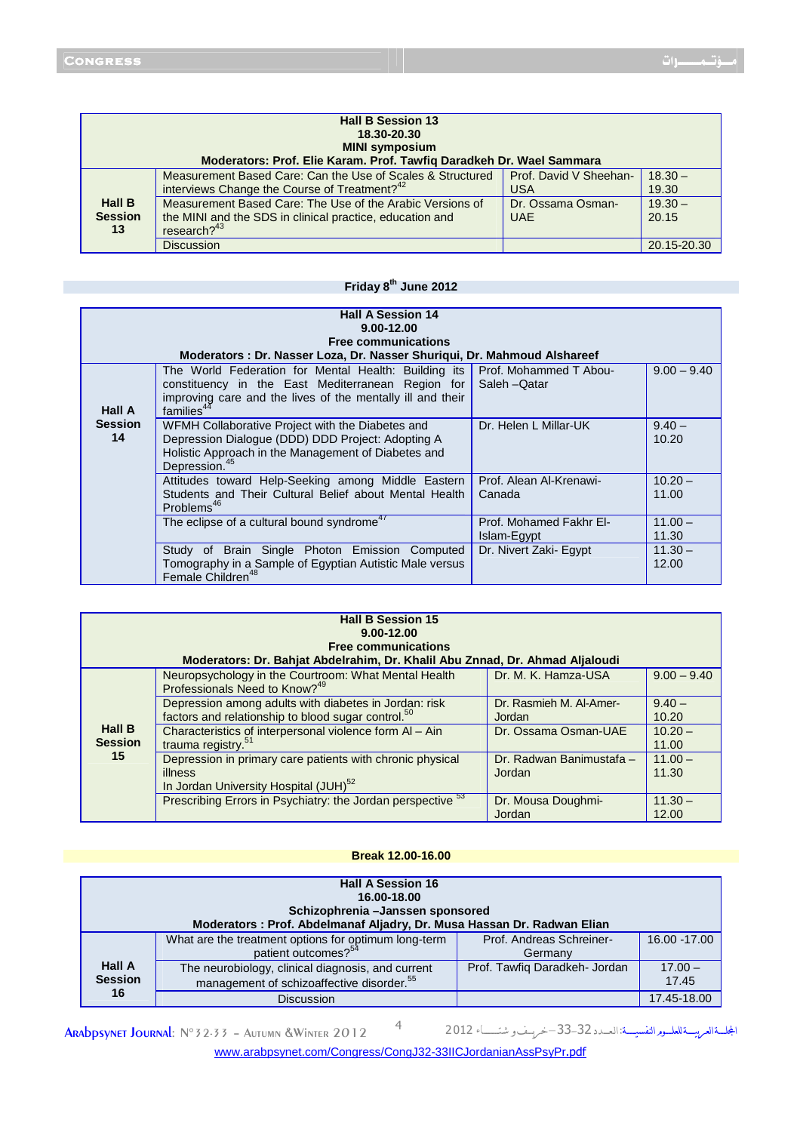| <b>Hall B Session 13</b><br>18.30-20.30<br><b>MINI symposium</b><br>Moderators: Prof. Elie Karam. Prof. Tawfig Daradkeh Dr. Wael Sammara |                                                                                                                                         |                                      |                    |
|------------------------------------------------------------------------------------------------------------------------------------------|-----------------------------------------------------------------------------------------------------------------------------------------|--------------------------------------|--------------------|
|                                                                                                                                          | Measurement Based Care: Can the Use of Scales & Structured<br>interviews Change the Course of Treatment? <sup>42</sup>                  | Prof. David V Sheehan-<br><b>USA</b> | $18.30 -$<br>19.30 |
| <b>Hall B</b><br><b>Session</b><br>13                                                                                                    | Measurement Based Care: The Use of the Arabic Versions of<br>the MINI and the SDS in clinical practice, education and<br>research? $43$ | Dr. Ossama Osman-<br><b>UAE</b>      | $19.30 -$<br>20.15 |
|                                                                                                                                          | <b>Discussion</b>                                                                                                                       |                                      | 20.15-20.30        |

## **Friday 8th June 2012**

| <b>Hall A Session 14</b><br>9.00-12.00<br><b>Free communications</b><br>Moderators: Dr. Nasser Loza, Dr. Nasser Shuriqui, Dr. Mahmoud Alshareef |                                                                                                                                                                                                   |                                         |                    |
|-------------------------------------------------------------------------------------------------------------------------------------------------|---------------------------------------------------------------------------------------------------------------------------------------------------------------------------------------------------|-----------------------------------------|--------------------|
| Hall A                                                                                                                                          | The World Federation for Mental Health: Building its<br>constituency in the East Mediterranean Region for<br>improving care and the lives of the mentally ill and their<br>families <sup>44</sup> | Prof. Mohammed T Abou-<br>Saleh - Qatar | $9.00 - 9.40$      |
| <b>Session</b><br>14                                                                                                                            | WFMH Collaborative Project with the Diabetes and<br>Depression Dialogue (DDD) DDD Project: Adopting A<br>Holistic Approach in the Management of Diabetes and<br>Depression. <sup>45</sup>         | Dr. Helen L Millar-UK                   | $9.40 -$<br>10.20  |
|                                                                                                                                                 | Attitudes toward Help-Seeking among Middle Eastern<br>Students and Their Cultural Belief about Mental Health<br>Problems <sup>46</sup>                                                            | Prof. Alean Al-Krenawi-<br>Canada       | $10.20 -$<br>11.00 |
|                                                                                                                                                 | The eclipse of a cultural bound syndrome <sup>47</sup>                                                                                                                                            | Prof. Mohamed Fakhr El-<br>Islam-Egypt  | $11.00 -$<br>11.30 |
|                                                                                                                                                 | Study of Brain Single Photon Emission Computed<br>Tomography in a Sample of Egyptian Autistic Male versus<br>Female Children <sup>48</sup>                                                        | Dr. Nivert Zaki- Egypt                  | $11.30 -$<br>12.00 |

| <b>Hall B Session 15</b><br>$9.00 - 12.00$<br><b>Free communications</b><br>Moderators: Dr. Bahjat Abdelrahim, Dr. Khalil Abu Znnad, Dr. Ahmad Aljaloudi |                                                                                                                           |                                    |                    |
|----------------------------------------------------------------------------------------------------------------------------------------------------------|---------------------------------------------------------------------------------------------------------------------------|------------------------------------|--------------------|
|                                                                                                                                                          | Neuropsychology in the Courtroom: What Mental Health<br>Professionals Need to Know? <sup>49</sup>                         | Dr. M. K. Hamza-USA                | $9.00 - 9.40$      |
|                                                                                                                                                          | Depression among adults with diabetes in Jordan: risk<br>factors and relationship to blood sugar control. <sup>50</sup>   | Dr. Rasmieh M. Al-Amer-<br>Jordan  | $9.40 -$<br>10.20  |
| <b>Hall B</b><br><b>Session</b>                                                                                                                          | Characteristics of interpersonal violence form Al - Ain<br>trauma registry. <sup>51</sup>                                 | Dr. Ossama Osman-UAE               | $10.20 -$<br>11.00 |
| 15                                                                                                                                                       | Depression in primary care patients with chronic physical<br>illness<br>In Jordan University Hospital (JUH) <sup>52</sup> | Dr. Radwan Banimustafa -<br>Jordan | $11.00 -$<br>11.30 |
|                                                                                                                                                          | Prescribing Errors in Psychiatry: the Jordan perspective <sup>53</sup>                                                    | Dr. Mousa Doughmi-<br>Jordan       | $11.30 -$<br>12.00 |

#### **Break 12.00-16.00**

| <b>Hall A Session 16</b><br>16.00-18.00<br>Schizophrenia - Janssen sponsored<br>Moderators : Prof. Abdelmanaf Aljadry, Dr. Musa Hassan Dr. Radwan Elian |                                                                                                            |                                     |                    |
|---------------------------------------------------------------------------------------------------------------------------------------------------------|------------------------------------------------------------------------------------------------------------|-------------------------------------|--------------------|
|                                                                                                                                                         | What are the treatment options for optimum long-term<br>patient outcomes? <sup>54</sup>                    | Prof. Andreas Schreiner-<br>Germany | 16.00 - 17.00      |
| <b>Hall A</b><br><b>Session</b>                                                                                                                         | The neurobiology, clinical diagnosis, and current<br>management of schizoaffective disorder. <sup>55</sup> | Prof. Tawfig Daradkeh- Jordan       | $17.00 -$<br>17.45 |
| 16                                                                                                                                                      | <b>Discussion</b>                                                                                          |                                     | 17.45-18.00        |

ARADPSYNET JOURNAL: N°32-33 - AUTUMN &WINTER 2012 4

المجلسة العريسة للعلسوم النفسيسة: العسدد 32-33-ضرسف و شتسساء 2012